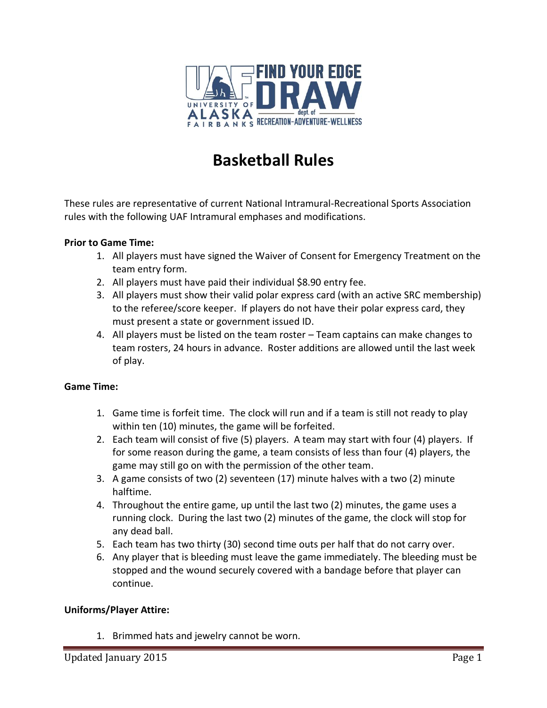

# **Basketball Rules**

These rules are representative of current National Intramural-Recreational Sports Association rules with the following UAF Intramural emphases and modifications.

### **Prior to Game Time:**

- 1. All players must have signed the Waiver of Consent for Emergency Treatment on the team entry form.
- 2. All players must have paid their individual \$8.90 entry fee.
- 3. All players must show their valid polar express card (with an active SRC membership) to the referee/score keeper. If players do not have their polar express card, they must present a state or government issued ID.
- 4. All players must be listed on the team roster Team captains can make changes to team rosters, 24 hours in advance. Roster additions are allowed until the last week of play.

#### **Game Time:**

- 1. Game time is forfeit time. The clock will run and if a team is still not ready to play within ten (10) minutes, the game will be forfeited.
- 2. Each team will consist of five (5) players. A team may start with four (4) players. If for some reason during the game, a team consists of less than four (4) players, the game may still go on with the permission of the other team.
- 3. A game consists of two (2) seventeen (17) minute halves with a two (2) minute halftime.
- 4. Throughout the entire game, up until the last two (2) minutes, the game uses a running clock. During the last two (2) minutes of the game, the clock will stop for any dead ball.
- 5. Each team has two thirty (30) second time outs per half that do not carry over.
- 6. Any player that is bleeding must leave the game immediately. The bleeding must be stopped and the wound securely covered with a bandage before that player can continue.

#### **Uniforms/Player Attire:**

1. Brimmed hats and jewelry cannot be worn.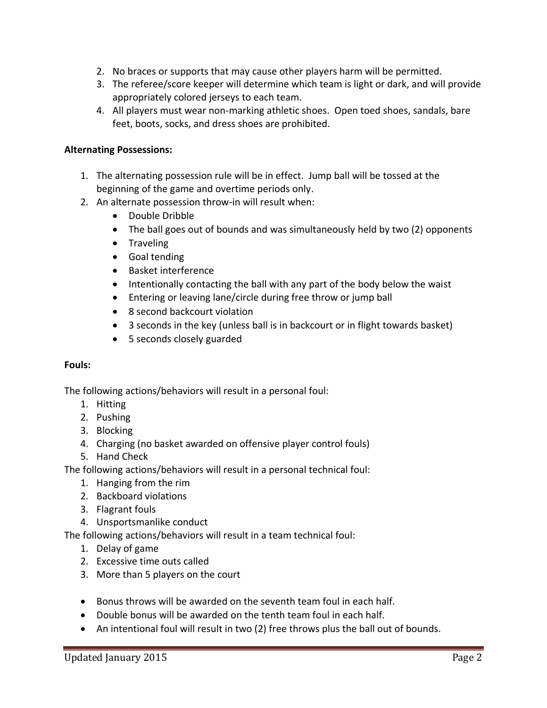- 2. No braces or supports that may cause other players harm will be permitted.
- 3. The referee/score keeper will determine which team is light or dark, and will provide appropriately colored jerseys to each team.
- 4. All players must wear non-marking athletic shoes. Open toed shoes, sandals, bare feet, boots, socks, and dress shoes are prohibited.

# **Alternating Possessions:**

- 1. The alternating possession rule will be in effect. Jump ball will be tossed at the beginning of the game and overtime periods only.
- 2. An alternate possession throw-in will result when:
	- Double Dribble
	- The ball goes out of bounds and was simultaneously held by two (2) opponents
	- Traveling
	- Goal tending
	- Basket interference
	- Intentionally contacting the ball with any part of the body below the waist
	- Entering or leaving lane/circle during free throw or jump ball
	- 8 second backcourt violation
	- 3 seconds in the key (unless ball is in backcourt or in flight towards basket)
	- 5 seconds closely guarded

# **Fouls:**

The following actions/behaviors will result in a personal foul:

- 1. Hitting
- 2. Pushing
- 3. Blocking
- 4. Charging (no basket awarded on offensive player control fouls)
- 5. Hand Check

The following actions/behaviors will result in a personal technical foul:

- 1. Hanging from the rim
- 2. Backboard violations
- 3. Flagrant fouls
- 4. Unsportsmanlike conduct

The following actions/behaviors will result in a team technical foul:

- 1. Delay of game
- 2. Excessive time outs called
- 3. More than 5 players on the court
- Bonus throws will be awarded on the seventh team foul in each half.
- Double bonus will be awarded on the tenth team foul in each half.
- An intentional foul will result in two (2) free throws plus the ball out of bounds.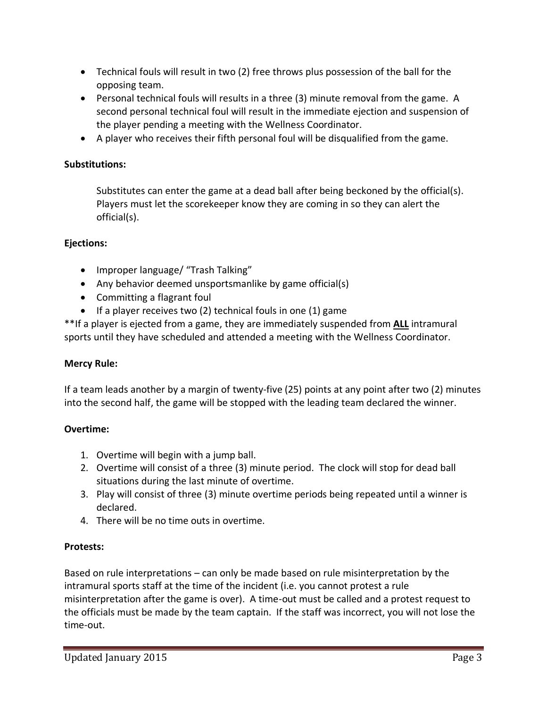- Technical fouls will result in two (2) free throws plus possession of the ball for the opposing team.
- Personal technical fouls will results in a three (3) minute removal from the game. A second personal technical foul will result in the immediate ejection and suspension of the player pending a meeting with the Wellness Coordinator.
- A player who receives their fifth personal foul will be disqualified from the game.

# **Substitutions:**

Substitutes can enter the game at a dead ball after being beckoned by the official(s). Players must let the scorekeeper know they are coming in so they can alert the official(s).

# **Ejections:**

- Improper language/ "Trash Talking"
- Any behavior deemed unsportsmanlike by game official(s)
- Committing a flagrant foul
- If a player receives two (2) technical fouls in one (1) game

\*\*If a player is ejected from a game, they are immediately suspended from **ALL** intramural sports until they have scheduled and attended a meeting with the Wellness Coordinator.

# **Mercy Rule:**

If a team leads another by a margin of twenty-five (25) points at any point after two (2) minutes into the second half, the game will be stopped with the leading team declared the winner.

# **Overtime:**

- 1. Overtime will begin with a jump ball.
- 2. Overtime will consist of a three (3) minute period. The clock will stop for dead ball situations during the last minute of overtime.
- 3. Play will consist of three (3) minute overtime periods being repeated until a winner is declared.
- 4. There will be no time outs in overtime.

# **Protests:**

Based on rule interpretations – can only be made based on rule misinterpretation by the intramural sports staff at the time of the incident (i.e. you cannot protest a rule misinterpretation after the game is over). A time-out must be called and a protest request to the officials must be made by the team captain. If the staff was incorrect, you will not lose the time-out.